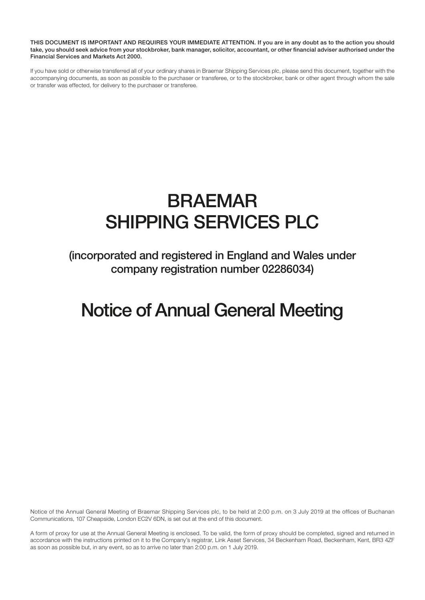THIS DOCUMENT IS IMPORTANT AND REQUIRES YOUR IMMEDIATE ATTENTION. If you are in any doubt as to the action you should take, you should seek advice from your stockbroker, bank manager, solicitor, accountant, or other financial adviser authorised under the Financial Services and Markets Act 2000.

If you have sold or otherwise transferred all of your ordinary shares in Braemar Shipping Services plc, please send this document, together with the accompanying documents, as soon as possible to the purchaser or transferee, or to the stockbroker, bank or other agent through whom the sale or transfer was effected, for delivery to the purchaser or transferee.

# BRAEMAR SHIPPING SERVICES PLC

(incorporated and registered in England and Wales under company registration number 02286034)

## Notice of Annual General Meeting

Notice of the Annual General Meeting of Braemar Shipping Services plc, to be held at 2:00 p.m. on 3 July 2019 at the offices of Buchanan Communications, 107 Cheapside, London EC2V 6DN, is set out at the end of this document.

A form of proxy for use at the Annual General Meeting is enclosed. To be valid, the form of proxy should be completed, signed and returned in accordance with the instructions printed on it to the Company's registrar, Link Asset Services, 34 Beckenham Road, Beckenham, Kent, BR3 4ZF as soon as possible but, in any event, so as to arrive no later than 2:00 p.m. on 1 July 2019.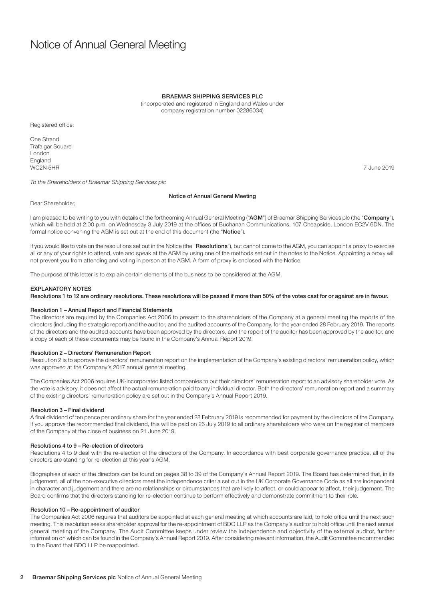### Notice of Annual General Meeting

#### BRAEMAR SHIPPING SERVICES PLC

(incorporated and registered in England and Wales under company registration number 02286034)

Registered office:

One Strand Trafalgar Square London England WC2N 5HR 7 June 2019

*To the Shareholders of Braemar Shipping Services plc*

#### Notice of Annual General Meeting

Dear Shareholder,

I am pleased to be writing to you with details of the forthcoming Annual General Meeting ("AGM") of Braemar Shipping Services plc (the "Company"), which will be held at 2:00 p.m. on Wednesday 3 July 2019 at the offices of Buchanan Communications, 107 Cheapside, London EC2V 6DN. The formal notice convening the AGM is set out at the end of this document (the "Notice").

If you would like to vote on the resolutions set out in the Notice (the "Resolutions"), but cannot come to the AGM, you can appoint a proxy to exercise all or any of your rights to attend, vote and speak at the AGM by using one of the methods set out in the notes to the Notice. Appointing a proxy will not prevent you from attending and voting in person at the AGM. A form of proxy is enclosed with the Notice.

The purpose of this letter is to explain certain elements of the business to be considered at the AGM.

#### EXPLANATORY NOTES

Resolutions 1 to 12 are ordinary resolutions. These resolutions will be passed if more than 50% of the votes cast for or against are in favour.

#### Resolution 1 – Annual Report and Financial Statements

The directors are required by the Companies Act 2006 to present to the shareholders of the Company at a general meeting the reports of the directors (including the strategic report) and the auditor, and the audited accounts of the Company, for the year ended 28 February 2019. The reports of the directors and the audited accounts have been approved by the directors, and the report of the auditor has been approved by the auditor, and a copy of each of these documents may be found in the Company's Annual Report 2019.

#### Resolution 2 – Directors' Remuneration Report

Resolution 2 is to approve the directors' remuneration report on the implementation of the Company's existing directors' remuneration policy, which was approved at the Company's 2017 annual general meeting.

The Companies Act 2006 requires UK-incorporated listed companies to put their directors' remuneration report to an advisory shareholder vote. As the vote is advisory, it does not affect the actual remuneration paid to any individual director. Both the directors' remuneration report and a summary of the existing directors' remuneration policy are set out in the Company's Annual Report 2019.

#### Resolution 3 – Final dividend

A final dividend of ten pence per ordinary share for the year ended 28 February 2019 is recommended for payment by the directors of the Company. If you approve the recommended final dividend, this will be paid on 26 July 2019 to all ordinary shareholders who were on the register of members of the Company at the close of business on 21 June 2019.

#### Resolutions 4 to 9 – Re-election of directors

Resolutions 4 to 9 deal with the re-election of the directors of the Company. In accordance with best corporate governance practice, all of the directors are standing for re-election at this year's AGM.

Biographies of each of the directors can be found on pages 38 to 39 of the Company's Annual Report 2019. The Board has determined that, in its judgement, all of the non-executive directors meet the independence criteria set out in the UK Corporate Governance Code as all are independent in character and judgement and there are no relationships or circumstances that are likely to affect, or could appear to affect, their judgement. The Board confirms that the directors standing for re-election continue to perform effectively and demonstrate commitment to their role.

#### Resolution 10 – Re-appointment of auditor

The Companies Act 2006 requires that auditors be appointed at each general meeting at which accounts are laid, to hold office until the next such meeting. This resolution seeks shareholder approval for the re-appointment of BDO LLP as the Company's auditor to hold office until the next annual general meeting of the Company. The Audit Committee keeps under review the independence and objectivity of the external auditor, further information on which can be found in the Company's Annual Report 2019. After considering relevant information, the Audit Committee recommended to the Board that BDO LLP be reappointed.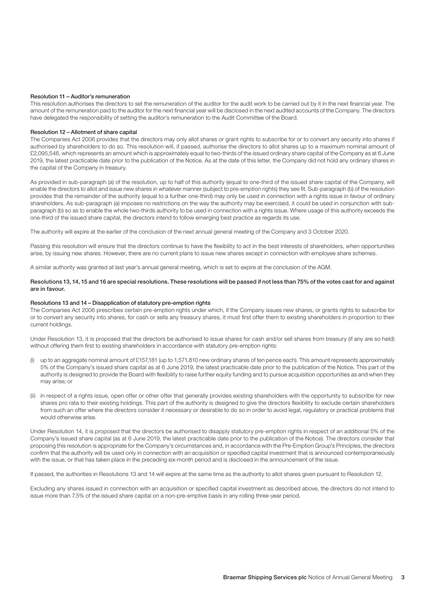#### Resolution 11 – Auditor's remuneration

This resolution authorises the directors to set the remuneration of the auditor for the audit work to be carried out by it in the next financial year. The amount of the remuneration paid to the auditor for the next financial year will be disclosed in the next audited accounts of the Company. The directors have delegated the responsibility of setting the auditor's remuneration to the Audit Committee of the Board.

#### Resolution 12 – Allotment of share capital

The Companies Act 2006 provides that the directors may only allot shares or grant rights to subscribe for or to convert any security into shares if authorised by shareholders to do so. This resolution will, if passed, authorise the directors to allot shares up to a maximum nominal amount of £2,095,546, which represents an amount which is approximately equal to two-thirds of the issued ordinary share capital of the Company as at 6 June 2019, the latest practicable date prior to the publication of the Notice. As at the date of this letter, the Company did not hold any ordinary shares in the capital of the Company in treasury.

As provided in sub-paragraph (a) of the resolution, up to half of this authority (equal to one-third of the issued share capital of the Company, will enable the directors to allot and issue new shares in whatever manner (subject to pre-emption rights) they see fit. Sub-paragraph (b) of the resolution provides that the remainder of the authority (equal to a further one-third) may only be used in connection with a rights issue in favour of ordinary shareholders. As sub-paragraph (a) imposes no restrictions on the way the authority may be exercised, it could be used in conjunction with subparagraph (b) so as to enable the whole two-thirds authority to be used in connection with a rights issue. Where usage of this authority exceeds the one-third of the issued share capital, the directors intend to follow emerging best practice as regards its use.

The authority will expire at the earlier of the conclusion of the next annual general meeting of the Company and 3 October 2020.

Passing this resolution will ensure that the directors continue to have the flexibility to act in the best interests of shareholders, when opportunities arise, by issuing new shares. However, there are no current plans to issue new shares except in connection with employee share schemes.

A similar authority was granted at last year's annual general meeting, which is set to expire at the conclusion of the AGM.

#### Resolutions 13, 14, 15 and 16 are special resolutions. These resolutions will be passed if not less than 75% of the votes cast for and against are in favour.

#### Resolutions 13 and 14 – Disapplication of statutory pre-emption rights

The Companies Act 2006 prescribes certain pre-emption rights under which, if the Company issues new shares, or grants rights to subscribe for or to convert any security into shares, for cash or sells any treasury shares, it must first offer them to existing shareholders in proportion to their current holdings.

Under Resolution 13, it is proposed that the directors be authorised to issue shares for cash and/or sell shares from treasury (if any are so held) without offering them first to existing shareholders in accordance with statutory pre-emption rights:

- (i) up to an aggregate nominal amount of £157,181 (up to 1,571,810 new ordinary shares of ten pence each). This amount represents approximately 5% of the Company's issued share capital as at 6 June 2019, the latest practicable date prior to the publication of the Notice. This part of the authority is designed to provide the Board with flexibility to raise further equity funding and to pursue acquisition opportunities as and when they may arise; or
- (ii) in respect of a rights issue, open offer or other offer that generally provides existing shareholders with the opportunity to subscribe for new shares pro rata to their existing holdings. This part of the authority is designed to give the directors flexibility to exclude certain shareholders from such an offer where the directors consider it necessary or desirable to do so in order to avoid legal, regulatory or practical problems that would otherwise arise.

Under Resolution 14, it is proposed that the directors be authorised to disapply statutory pre-emption rights in respect of an additional 5% of the Company's issued share capital (as at 6 June 2019, the latest practicable date prior to the publication of the Notice). The directors consider that proposing this resolution is appropriate for the Company's circumstances and, in accordance with the Pre-Emption Group's Principles, the directors confirm that the authority will be used only in connection with an acquisition or specified capital investment that is announced contemporaneously with the issue, or that has taken place in the preceding six-month period and is disclosed in the announcement of the issue.

If passed, the authorities in Resolutions 13 and 14 will expire at the same time as the authority to allot shares given pursuant to Resolution 12.

Excluding any shares issued in connection with an acquisition or specified capital investment as described above, the directors do not intend to issue more than 7.5% of the issued share capital on a non-pre-emptive basis in any rolling three-year period.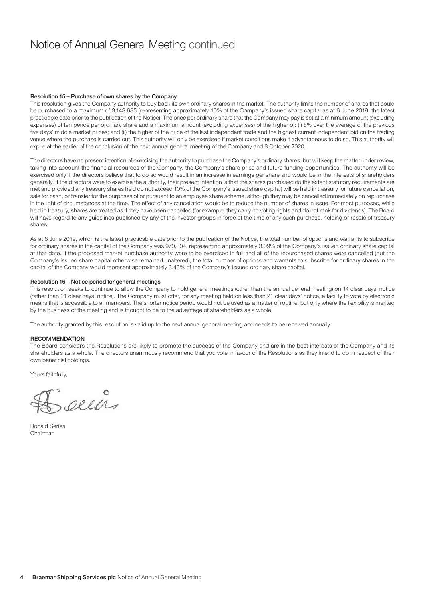### Notice of Annual General Meeting continued

#### Resolution 15 – Purchase of own shares by the Company

This resolution gives the Company authority to buy back its own ordinary shares in the market. The authority limits the number of shares that could be purchased to a maximum of 3,143,635 (representing approximately 10% of the Company's issued share capital as at 6 June 2019, the latest practicable date prior to the publication of the Notice). The price per ordinary share that the Company may pay is set at a minimum amount (excluding expenses) of ten pence per ordinary share and a maximum amount (excluding expenses) of the higher of: (i) 5% over the average of the previous five days' middle market prices; and (ii) the higher of the price of the last independent trade and the highest current independent bid on the trading venue where the purchase is carried out. This authority will only be exercised if market conditions make it advantageous to do so. This authority will expire at the earlier of the conclusion of the next annual general meeting of the Company and 3 October 2020.

The directors have no present intention of exercising the authority to purchase the Company's ordinary shares, but will keep the matter under review, taking into account the financial resources of the Company, the Company's share price and future funding opportunities. The authority will be exercised only if the directors believe that to do so would result in an increase in earnings per share and would be in the interests of shareholders generally. If the directors were to exercise the authority, their present intention is that the shares purchased (to the extent statutory requirements are met and provided any treasury shares held do not exceed 10% of the Company's issued share capital) will be held in treasury for future cancellation, sale for cash, or transfer for the purposes of or pursuant to an employee share scheme, although they may be cancelled immediately on repurchase in the light of circumstances at the time. The effect of any cancellation would be to reduce the number of shares in issue. For most purposes, while held in treasury, shares are treated as if they have been cancelled (for example, they carry no voting rights and do not rank for dividends). The Board will have regard to any guidelines published by any of the investor groups in force at the time of any such purchase, holding or resale of treasury shares.

As at 6 June 2019, which is the latest practicable date prior to the publication of the Notice, the total number of options and warrants to subscribe for ordinary shares in the capital of the Company was 970,804, representing approximately 3.09% of the Company's issued ordinary share capital at that date. If the proposed market purchase authority were to be exercised in full and all of the repurchased shares were cancelled (but the Company's issued share capital otherwise remained unaltered), the total number of options and warrants to subscribe for ordinary shares in the capital of the Company would represent approximately 3.43% of the Company's issued ordinary share capital.

#### Resolution 16 – Notice period for general meetings

This resolution seeks to continue to allow the Company to hold general meetings (other than the annual general meeting) on 14 clear days' notice (rather than 21 clear days' notice). The Company must offer, for any meeting held on less than 21 clear days' notice, a facility to vote by electronic means that is accessible to all members. The shorter notice period would not be used as a matter of routine, but only where the flexibility is merited by the business of the meeting and is thought to be to the advantage of shareholders as a whole.

The authority granted by this resolution is valid up to the next annual general meeting and needs to be renewed annually.

#### RECOMMENDATION

The Board considers the Resolutions are likely to promote the success of the Company and are in the best interests of the Company and its shareholders as a whole. The directors unanimously recommend that you vote in favour of the Resolutions as they intend to do in respect of their own beneficial holdings.

Yours faithfully,

cells

Ronald Series Chairman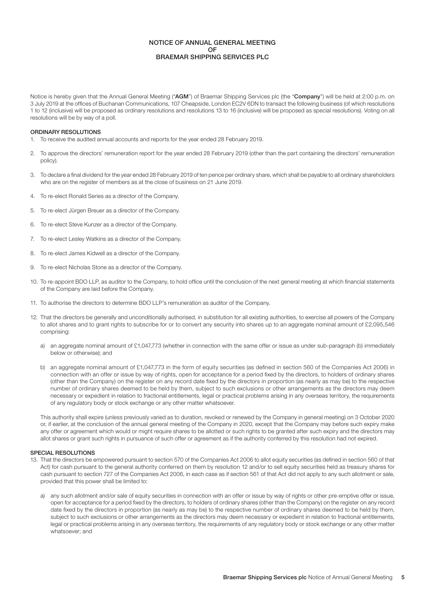#### NOTICE OF ANNUAL GENERAL MEETING OF BRAEMAR SHIPPING SERVICES PLC

Notice is hereby given that the Annual General Meeting ("AGM") of Braemar Shipping Services plc (the "Company") will be held at 2:00 p.m. on 3 July 2019 at the offices of Buchanan Communications, 107 Cheapside, London EC2V 6DN to transact the following business (of which resolutions 1 to 12 (inclusive) will be proposed as ordinary resolutions and resolutions 13 to 16 (inclusive) will be proposed as special resolutions). Voting on all resolutions will be by way of a poll.

#### ORDINARY RESOLUTIONS

- 1. To receive the audited annual accounts and reports for the year ended 28 February 2019.
- 2. To approve the directors' remuneration report for the year ended 28 February 2019 (other than the part containing the directors' remuneration policy).
- 3. To declare a final dividend for the year ended 28 February 2019 of ten pence per ordinary share, which shall be payable to all ordinary shareholders who are on the register of members as at the close of business on 21 June 2019.
- 4. To re-elect Ronald Series as a director of the Company.
- 5. To re-elect Jürgen Breuer as a director of the Company.
- 6. To re-elect Steve Kunzer as a director of the Company.
- 7. To re-elect Lesley Watkins as a director of the Company.
- 8. To re-elect James Kidwell as a director of the Company.
- 9. To re-elect Nicholas Stone as a director of the Company.
- 10. To re-appoint BDO LLP, as auditor to the Company, to hold office until the conclusion of the next general meeting at which financial statements of the Company are laid before the Company.
- 11. To authorise the directors to determine BDO LLP's remuneration as auditor of the Company.
- 12. That the directors be generally and unconditionally authorised, in substitution for all existing authorities, to exercise all powers of the Company to allot shares and to grant rights to subscribe for or to convert any security into shares up to an aggregate nominal amount of £2,095,546 comprising:
	- a) an aggregate nominal amount of £1,047,773 (whether in connection with the same offer or issue as under sub-paragraph (b) immediately below or otherwise); and
	- b) an aggregate nominal amount of £1,047,773 in the form of equity securities (as defined in section 560 of the Companies Act 2006) in connection with an offer or issue by way of rights, open for acceptance for a period fixed by the directors, to holders of ordinary shares (other than the Company) on the register on any record date fixed by the directors in proportion (as nearly as may be) to the respective number of ordinary shares deemed to be held by them, subject to such exclusions or other arrangements as the directors may deem necessary or expedient in relation to fractional entitlements, legal or practical problems arising in any overseas territory, the requirements of any regulatory body or stock exchange or any other matter whatsoever.

This authority shall expire (unless previously varied as to duration, revoked or renewed by the Company in general meeting) on 3 October 2020 or, if earlier, at the conclusion of the annual general meeting of the Company in 2020, except that the Company may before such expiry make any offer or agreement which would or might require shares to be allotted or such rights to be granted after such expiry and the directors may allot shares or grant such rights in pursuance of such offer or agreement as if the authority conferred by this resolution had not expired.

#### SPECIAL RESOLUTIONS

- 13. That the directors be empowered pursuant to section 570 of the Companies Act 2006 to allot equity securities (as defined in section 560 of that Act) for cash pursuant to the general authority conferred on them by resolution 12 and/or to sell equity securities held as treasury shares for cash pursuant to section 727 of the Companies Act 2006, in each case as if section 561 of that Act did not apply to any such allotment or sale, provided that this power shall be limited to:
	- a) any such allotment and/or sale of equity securities in connection with an offer or issue by way of rights or other pre-emptive offer or issue, open for acceptance for a period fixed by the directors, to holders of ordinary shares (other than the Company) on the register on any record date fixed by the directors in proportion (as nearly as may be) to the respective number of ordinary shares deemed to be held by them, subject to such exclusions or other arrangements as the directors may deem necessary or expedient in relation to fractional entitlements, legal or practical problems arising in any overseas territory, the requirements of any regulatory body or stock exchange or any other matter whatsoever; and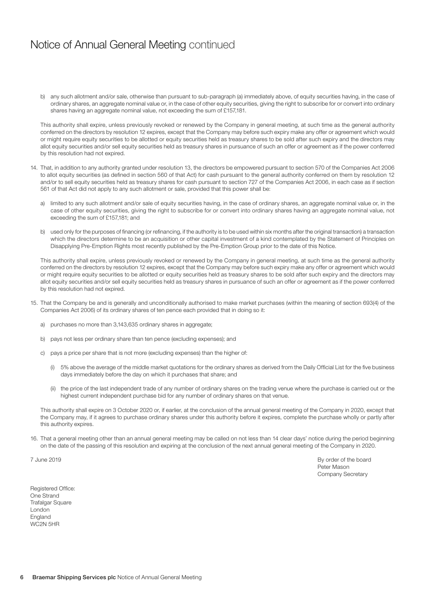### Notice of Annual General Meeting continued

b) any such allotment and/or sale, otherwise than pursuant to sub-paragraph (a) immediately above, of equity securities having, in the case of ordinary shares, an aggregate nominal value or, in the case of other equity securities, giving the right to subscribe for or convert into ordinary shares having an aggregate nominal value, not exceeding the sum of £157,181.

This authority shall expire, unless previously revoked or renewed by the Company in general meeting, at such time as the general authority conferred on the directors by resolution 12 expires, except that the Company may before such expiry make any offer or agreement which would or might require equity securities to be allotted or equity securities held as treasury shares to be sold after such expiry and the directors may allot equity securities and/or sell equity securities held as treasury shares in pursuance of such an offer or agreement as if the power conferred by this resolution had not expired.

- 14. That, in addition to any authority granted under resolution 13, the directors be empowered pursuant to section 570 of the Companies Act 2006 to allot equity securities (as defined in section 560 of that Act) for cash pursuant to the general authority conferred on them by resolution 12 and/or to sell equity securities held as treasury shares for cash pursuant to section 727 of the Companies Act 2006, in each case as if section 561 of that Act did not apply to any such allotment or sale, provided that this power shall be:
	- a) limited to any such allotment and/or sale of equity securities having, in the case of ordinary shares, an aggregate nominal value or, in the case of other equity securities, giving the right to subscribe for or convert into ordinary shares having an aggregate nominal value, not exceeding the sum of £157,181; and
	- b) used only for the purposes of financing (or refinancing, if the authority is to be used within six months after the original transaction) a transaction which the directors determine to be an acquisition or other capital investment of a kind contemplated by the Statement of Principles on Disapplying Pre-Emption Rights most recently published by the Pre-Emption Group prior to the date of this Notice.

This authority shall expire, unless previously revoked or renewed by the Company in general meeting, at such time as the general authority conferred on the directors by resolution 12 expires, except that the Company may before such expiry make any offer or agreement which would or might require equity securities to be allotted or equity securities held as treasury shares to be sold after such expiry and the directors may allot equity securities and/or sell equity securities held as treasury shares in pursuance of such an offer or agreement as if the power conferred by this resolution had not expired.

- 15. That the Company be and is generally and unconditionally authorised to make market purchases (within the meaning of section 693(4) of the Companies Act 2006) of its ordinary shares of ten pence each provided that in doing so it:
	- a) purchases no more than 3,143,635 ordinary shares in aggregate;
	- b) pays not less per ordinary share than ten pence (excluding expenses); and
	- c) pays a price per share that is not more (excluding expenses) than the higher of:
		- (i) 5% above the average of the middle market quotations for the ordinary shares as derived from the Daily Official List for the five business days immediately before the day on which it purchases that share; and
		- (ii) the price of the last independent trade of any number of ordinary shares on the trading venue where the purchase is carried out or the highest current independent purchase bid for any number of ordinary shares on that venue.

This authority shall expire on 3 October 2020 or, if earlier, at the conclusion of the annual general meeting of the Company in 2020, except that the Company may, if it agrees to purchase ordinary shares under this authority before it expires, complete the purchase wholly or partly after this authority expires.

16. That a general meeting other than an annual general meeting may be called on not less than 14 clear days' notice during the period beginning on the date of the passing of this resolution and expiring at the conclusion of the next annual general meeting of the Company in 2020.

7 June 2019 By order of the board Peter Mason Company Secretary

Registered Office: One Strand Trafalgar Square London England WC2N 5HR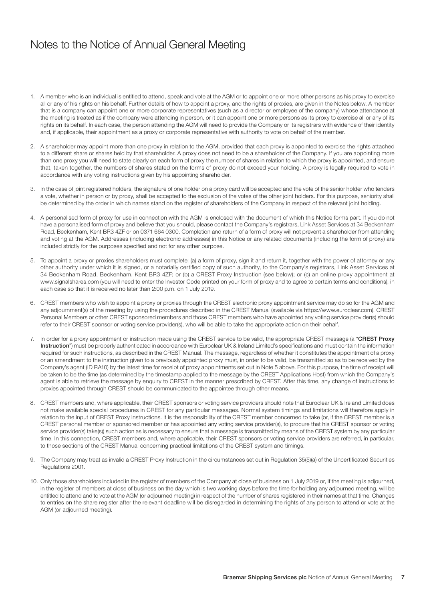### Notes to the Notice of Annual General Meeting

- 1. A member who is an individual is entitled to attend, speak and vote at the AGM or to appoint one or more other persons as his proxy to exercise all or any of his rights on his behalf. Further details of how to appoint a proxy, and the rights of proxies, are given in the Notes below. A member that is a company can appoint one or more corporate representatives (such as a director or employee of the company) whose attendance at the meeting is treated as if the company were attending in person, or it can appoint one or more persons as its proxy to exercise all or any of its rights on its behalf. In each case, the person attending the AGM will need to provide the Company or its registrars with evidence of their identity and, if applicable, their appointment as a proxy or corporate representative with authority to vote on behalf of the member.
- 2. A shareholder may appoint more than one proxy in relation to the AGM, provided that each proxy is appointed to exercise the rights attached to a different share or shares held by that shareholder. A proxy does not need to be a shareholder of the Company. If you are appointing more than one proxy you will need to state clearly on each form of proxy the number of shares in relation to which the proxy is appointed, and ensure that, taken together, the numbers of shares stated on the forms of proxy do not exceed your holding. A proxy is legally required to vote in accordance with any voting instructions given by his appointing shareholder.
- 3. In the case of joint registered holders, the signature of one holder on a proxy card will be accepted and the vote of the senior holder who tenders a vote, whether in person or by proxy, shall be accepted to the exclusion of the votes of the other joint holders. For this purpose, seniority shall be determined by the order in which names stand on the register of shareholders of the Company in respect of the relevant joint holding.
- 4. A personalised form of proxy for use in connection with the AGM is enclosed with the document of which this Notice forms part. If you do not have a personalised form of proxy and believe that you should, please contact the Company's registrars, Link Asset Services at 34 Beckenham Road, Beckenham, Kent BR3 4ZF or on 0371 664 0300. Completion and return of a form of proxy will not prevent a shareholder from attending and voting at the AGM. Addresses (including electronic addresses) in this Notice or any related documents (including the form of proxy) are included strictly for the purposes specified and not for any other purpose.
- 5. To appoint a proxy or proxies shareholders must complete: (a) a form of proxy, sign it and return it, together with the power of attorney or any other authority under which it is signed, or a notarially certified copy of such authority, to the Company's registrars, Link Asset Services at 34 Beckenham Road, Beckenham, Kent BR3 4ZF; or (b) a CREST Proxy Instruction (see below); or (c) an online proxy appointment at www.signalshares.com (you will need to enter the Investor Code printed on your form of proxy and to agree to certain terms and conditions), in each case so that it is received no later than 2:00 p.m. on 1 July 2019.
- 6. CREST members who wish to appoint a proxy or proxies through the CREST electronic proxy appointment service may do so for the AGM and any adjournment(s) of the meeting by using the procedures described in the CREST Manual (available via https://www.euroclear.com). CREST Personal Members or other CREST sponsored members and those CREST members who have appointed any voting service provider(s) should refer to their CREST sponsor or voting service provider(s), who will be able to take the appropriate action on their behalf.
- 7. In order for a proxy appointment or instruction made using the CREST service to be valid, the appropriate CREST message (a "CREST Proxy Instruction") must be properly authenticated in accordance with Euroclear UK & Ireland Limited's specifications and must contain the information required for such instructions, as described in the CREST Manual. The message, regardless of whether it constitutes the appointment of a proxy or an amendment to the instruction given to a previously appointed proxy must, in order to be valid, be transmitted so as to be received by the Company's agent (ID RA10) by the latest time for receipt of proxy appointments set out in Note 5 above. For this purpose, the time of receipt will be taken to be the time (as determined by the timestamp applied to the message by the CREST Applications Host) from which the Company's agent is able to retrieve the message by enquiry to CREST in the manner prescribed by CREST. After this time, any change of instructions to proxies appointed through CREST should be communicated to the appointee through other means.
- 8. CREST members and, where applicable, their CREST sponsors or voting service providers should note that Euroclear UK & Ireland Limited does not make available special procedures in CREST for any particular messages. Normal system timings and limitations will therefore apply in relation to the input of CREST Proxy Instructions. It is the responsibility of the CREST member concerned to take (or, if the CREST member is a CREST personal member or sponsored member or has appointed any voting service provider(s), to procure that his CREST sponsor or voting service provider(s) take(s)) such action as is necessary to ensure that a message is transmitted by means of the CREST system by any particular time. In this connection, CREST members and, where applicable, their CREST sponsors or voting service providers are referred, in particular, to those sections of the CREST Manual concerning practical limitations of the CREST system and timings.
- 9. The Company may treat as invalid a CREST Proxy Instruction in the circumstances set out in Regulation 35(5)(a) of the Uncertificated Securities Regulations 2001.
- 10. Only those shareholders included in the register of members of the Company at close of business on 1 July 2019 or, if the meeting is adjourned, in the register of members at close of business on the day which is two working days before the time for holding any adjourned meeting, will be entitled to attend and to vote at the AGM (or adjourned meeting) in respect of the number of shares registered in their names at that time. Changes to entries on the share register after the relevant deadline will be disregarded in determining the rights of any person to attend or vote at the AGM (or adjourned meeting).